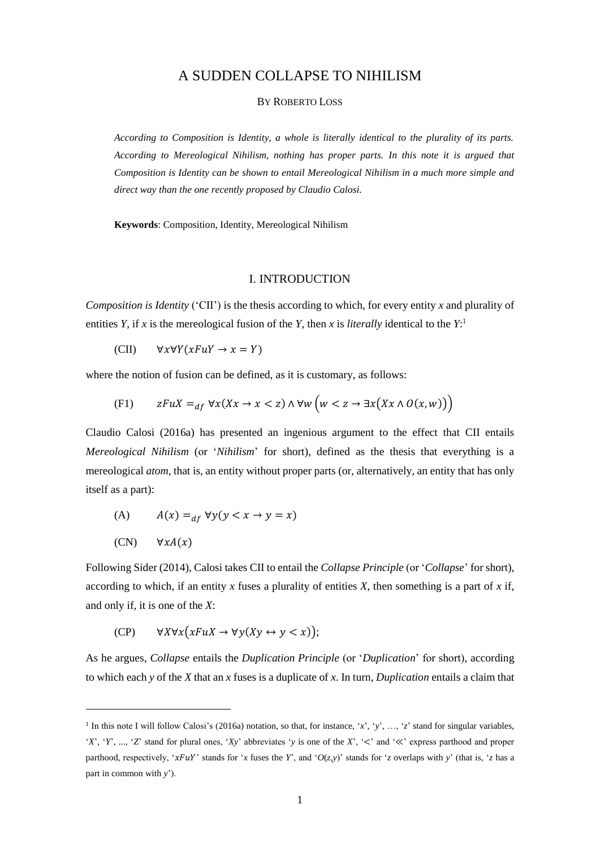# A SUDDEN COLLAPSE TO NIHILISM

### BY ROBERTO LOSS

*According to Composition is Identity, a whole is literally identical to the plurality of its parts. According to Mereological Nihilism, nothing has proper parts. In this note it is argued that Composition is Identity can be shown to entail Mereological Nihilism in a much more simple and direct way than the one recently proposed by Claudio Calosi.*

**Keywords**: Composition, Identity, Mereological Nihilism

### I. INTRODUCTION

*Composition is Identity* ('CII') is the thesis according to which, for every entity *x* and plurality of entities *Y*, if *x* is the mereological fusion of the *Y*, then *x* is *literally* identical to the  $Y$ :

(CII)  $\forall x \forall Y(xFuY \rightarrow x = Y)$ 

where the notion of fusion can be defined, as it is customary, as follows:

(F1) 
$$
zFuX =_{df} \forall x (Xx \to x < z) \land \forall w \left( w < z \to \exists x (Xx \land O(x, w)) \right)
$$

Claudio Calosi (2016a) has presented an ingenious argument to the effect that CII entails *Mereological Nihilism* (or '*Nihilism*' for short), defined as the thesis that everything is a mereological *atom*, that is, an entity without proper parts (or, alternatively, an entity that has only itself as a part):

(A) 
$$
A(x) =_{df} \forall y (y < x \rightarrow y = x)
$$
  
(CN) 
$$
\forall x A(x)
$$

Following Sider (2014), Calosi takes CII to entail the *Collapse Principle* (or '*Collapse*' for short), according to which, if an entity  $x$  fuses a plurality of entities  $X$ , then something is a part of  $x$  if, and only if, it is one of the *X*:

(CP) 
$$
\forall X \forall x (xFuX \rightarrow \forall y (Xy \leftrightarrow y < x));
$$

1

As he argues, *Collapse* entails the *Duplication Principle* (or '*Duplication*' for short), according to which each *y* of the *X* that an *x* fuses is a duplicate of *x*. In turn, *Duplication* entails a claim that

<sup>1</sup> In this note I will follow Calosi's (2016a) notation, so that, for instance, '*x*', '*y*', …, '*z*' stand for singular variables, '*X*', '*Y*', ..., '*Z*' stand for plural ones, '*Xy*' abbreviates '*y* is one of the *X*', '<' and '≪' express parthood and proper parthood, respectively, ' $xFuY'$ ' stands for '*x* fuses the *Y*', and ' $O(z,y)$ ' stands for '*z* overlaps with *y*' (that is, '*z* has a part in common with *y*').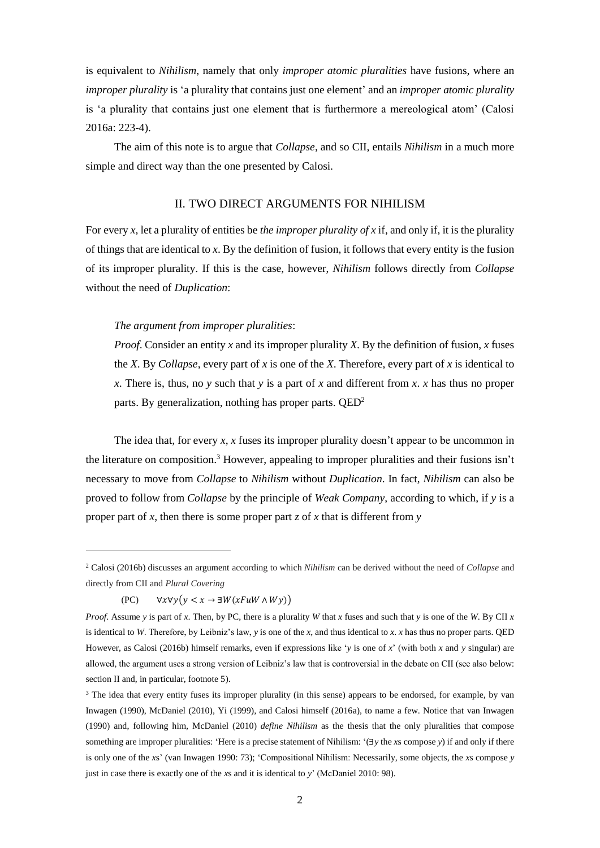is equivalent to *Nihilism*, namely that only *improper atomic pluralities* have fusions, where an *improper plurality* is 'a plurality that contains just one element' and an *improper atomic plurality* is 'a plurality that contains just one element that is furthermore a mereological atom' (Calosi 2016a: 223-4).

The aim of this note is to argue that *Collapse*, and so CII, entails *Nihilism* in a much more simple and direct way than the one presented by Calosi.

# II. TWO DIRECT ARGUMENTS FOR NIHILISM

For every *x,* let a plurality of entities be *the improper plurality of x* if, and only if, it is the plurality of things that are identical to *x*. By the definition of fusion, it follows that every entity is the fusion of its improper plurality. If this is the case, however, *Nihilism* follows directly from *Collapse* without the need of *Duplication*:

## *The argument from improper pluralities*:

*Proof*. Consider an entity *x* and its improper plurality *X*. By the definition of fusion, *x* fuses the *X*. By *Collapse*, every part of *x* is one of the *X*. Therefore, every part of *x* is identical to *x*. There is, thus, no *y* such that *y* is a part of *x* and different from *x*. *x* has thus no proper parts. By generalization, nothing has proper parts. QED<sup>2</sup>

The idea that, for every *x*, *x* fuses its improper plurality doesn't appear to be uncommon in the literature on composition. <sup>3</sup> However, appealing to improper pluralities and their fusions isn't necessary to move from *Collapse* to *Nihilism* without *Duplication*. In fact, *Nihilism* can also be proved to follow from *Collapse* by the principle of *Weak Company*, according to which, if *y* is a proper part of *x*, then there is some proper part *z* of *x* that is different from *y*

(PC)  $\forall x \forall y (y < x \rightarrow \exists W(x \text{Fu} W \land Wy))$ 

1

<sup>2</sup> Calosi (2016b) discusses an argument according to which *Nihilism* can be derived without the need of *Collapse* and directly from CII and *Plural Covering*

*Proof*. Assume *y* is part of *x*. Then, by PC, there is a plurality *W* that *x* fuses and such that *y* is one of the *W*. By CII *x* is identical to *W*. Therefore, by Leibniz's law, *y* is one of the *x*, and thus identical to *x*. *x* has thus no proper parts. QED However, as Calosi (2016b) himself remarks, even if expressions like '*y* is one of *x*' (with both *x* and *y* singular) are allowed, the argument uses a strong version of Leibniz's law that is controversial in the debate on CII (see also below: section II and, in particular, footnote 5).

<sup>&</sup>lt;sup>3</sup> The idea that every entity fuses its improper plurality (in this sense) appears to be endorsed, for example, by van Inwagen (1990), McDaniel (2010), Yi (1999), and Calosi himself (2016a), to name a few. Notice that van Inwagen (1990) and, following him, McDaniel (2010) *define Nihilism* as the thesis that the only pluralities that compose something are improper pluralities: 'Here is a precise statement of Nihilism: '(∃*y* the *x*s compose *y*) if and only if there is only one of the *x*s' (van Inwagen 1990: 73); 'Compositional Nihilism: Necessarily, some objects, the *x*s compose *y* just in case there is exactly one of the *x*s and it is identical to *y*' (McDaniel 2010: 98).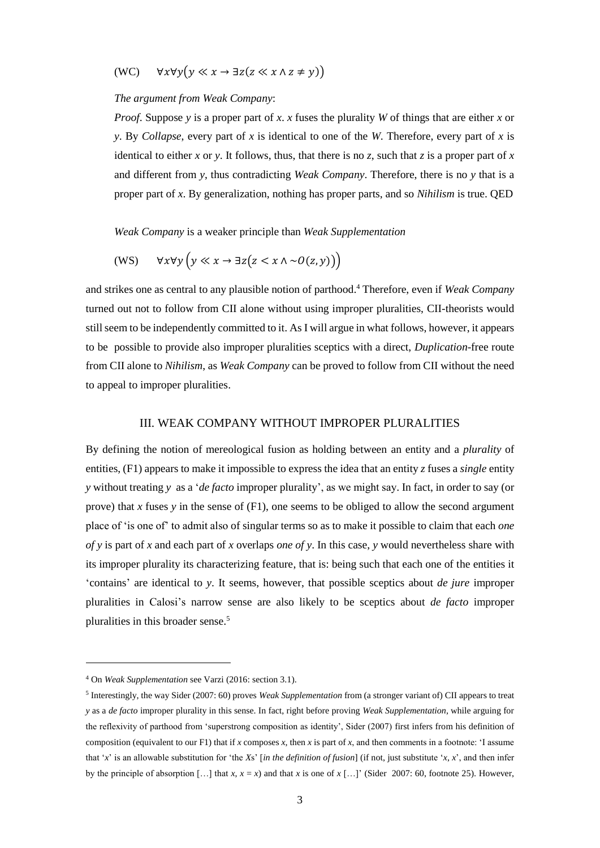(WC)  $\forall x \forall y (y \ll x \rightarrow \exists z (z \ll x \land z \neq y))$ 

#### *The argument from Weak Company*:

*Proof*. Suppose *y* is a proper part of *x*. *x* fuses the plurality *W* of things that are either *x* or *y*. By *Collapse*, every part of *x* is identical to one of the *W*. Therefore, every part of *x* is identical to either *x* or *y*. It follows, thus, that there is no *z*, such that *z* is a proper part of *x* and different from *y*, thus contradicting *Weak Company*. Therefore, there is no *y* that is a proper part of *x*. By generalization, nothing has proper parts, and so *Nihilism* is true. QED

*Weak Company* is a weaker principle than *Weak Supplementation*

$$
(WS) \qquad \forall x \forall y \left( y \ll x \to \exists z \big( z < x \land \sim O(z, y) \big) \right)
$$

and strikes one as central to any plausible notion of parthood. <sup>4</sup> Therefore, even if *Weak Company* turned out not to follow from CII alone without using improper pluralities, CII-theorists would still seem to be independently committed to it. As I will argue in what follows, however, it appears to be possible to provide also improper pluralities sceptics with a direct, *Duplication*-free route from CII alone to *Nihilism*, as *Weak Company* can be proved to follow from CII without the need to appeal to improper pluralities.

### III. WEAK COMPANY WITHOUT IMPROPER PLURALITIES

By defining the notion of mereological fusion as holding between an entity and a *plurality* of entities, (F1) appears to make it impossible to express the idea that an entity *z* fuses a *single* entity *y* without treating *y* as a '*de facto* improper plurality', as we might say. In fact, in order to say (or prove) that *x* fuses *y* in the sense of (F1), one seems to be obliged to allow the second argument place of 'is one of' to admit also of singular terms so as to make it possible to claim that each *one of y* is part of *x* and each part of *x* overlaps *one of y*. In this case, *y* would nevertheless share with its improper plurality its characterizing feature, that is: being such that each one of the entities it 'contains' are identical to *y*. It seems, however, that possible sceptics about *de jure* improper pluralities in Calosi's narrow sense are also likely to be sceptics about *de facto* improper pluralities in this broader sense.<sup>5</sup>

-

<sup>4</sup> On *Weak Supplementation* see Varzi (2016: section 3.1).

<sup>5</sup> Interestingly, the way Sider (2007: 60) proves *Weak Supplementation* from (a stronger variant of) CII appears to treat *y* as a *de facto* improper plurality in this sense. In fact, right before proving *Weak Supplementation*, while arguing for the reflexivity of parthood from 'superstrong composition as identity', Sider (2007) first infers from his definition of composition (equivalent to our F1) that if *x* composes *x*, then *x* is part of *x*, and then comments in a footnote: 'I assume that '*x*' is an allowable substitution for 'the *Xs*' [*in the definition of fusion*] (if not, just substitute '*x*, *x*', and then infer by the principle of absorption  $[\dots]$  that  $x, x = x$ ) and that  $x$  is one of  $x$   $[\dots]'$  (Sider 2007: 60, footnote 25). However,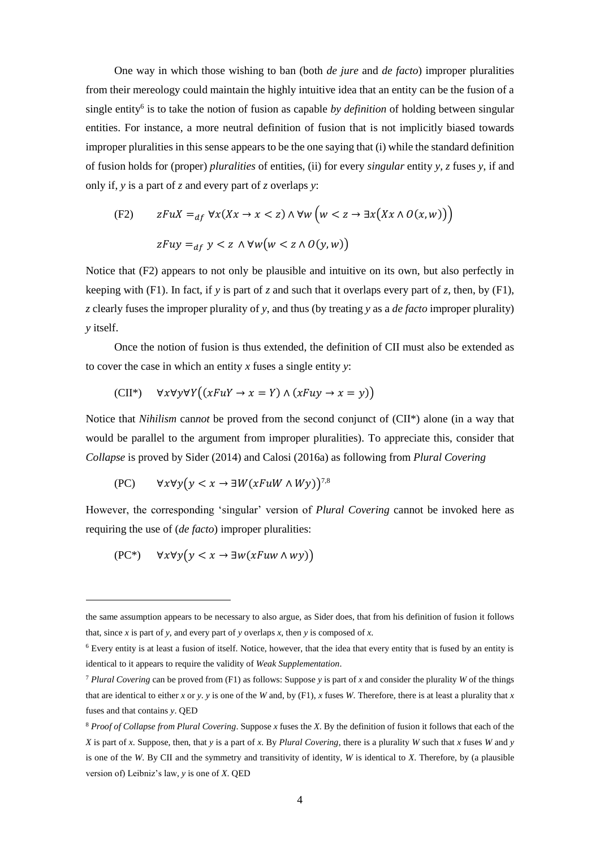One way in which those wishing to ban (both *de jure* and *de facto*) improper pluralities from their mereology could maintain the highly intuitive idea that an entity can be the fusion of a single entity<sup>6</sup> is to take the notion of fusion as capable by definition of holding between singular entities. For instance, a more neutral definition of fusion that is not implicitly biased towards improper pluralities in this sense appears to be the one saying that (i) while the standard definition of fusion holds for (proper) *pluralities* of entities, (ii) for every *singular* entity *y, z* fuses *y*, if and only if, *y* is a part of *z* and every part of *z* overlaps *y*:

$$
\begin{aligned} \text{(F2)} \qquad zFuX &=_{df} \forall x (Xx \to x < z) \land \forall w \left( w < z \to \exists x \big( Xx \land \mathit{O}(x, w) \big) \right) \\ zFuY &=_{df} y < z \land \forall w \big( w < z \land \mathit{O}(y, w) \big) \end{aligned}
$$

Notice that (F2) appears to not only be plausible and intuitive on its own, but also perfectly in keeping with (F1). In fact, if *y* is part of *z* and such that it overlaps every part of *z*, then, by (F1), *z* clearly fuses the improper plurality of *y*, and thus (by treating *y* as a *de facto* improper plurality) *y* itself.

Once the notion of fusion is thus extended, the definition of CII must also be extended as to cover the case in which an entity *x* fuses a single entity *y*:

$$
(CII^*) \quad \forall x \forall y \forall Y \big( (xFuY \to x = Y) \land (xFuY \to x = y) \big)
$$

Notice that *Nihilism* can*not* be proved from the second conjunct of (CII\*) alone (in a way that would be parallel to the argument from improper pluralities). To appreciate this, consider that *Collapse* is proved by Sider (2014) and Calosi (2016a) as following from *Plural Covering*

$$
(\text{PC}) \qquad \forall x \forall y \big( y < x \rightarrow \exists W (x \text{FuW} \land Wy) \big)^{7,8}
$$

However, the corresponding 'singular' version of *Plural Covering* cannot be invoked here as requiring the use of (*de facto*) improper pluralities:

$$
(\mathbf{PC}^*) \quad \forall x \forall y \big( y < x \rightarrow \exists w (x \text{F} u w \land w y) \big)
$$

-

the same assumption appears to be necessary to also argue, as Sider does, that from his definition of fusion it follows that, since *x* is part of *y*, and every part of *y* overlaps *x*, then *y* is composed of *x*.

<sup>6</sup> Every entity is at least a fusion of itself. Notice, however, that the idea that every entity that is fused by an entity is identical to it appears to require the validity of *Weak Supplementation*.

<sup>7</sup> *Plural Covering* can be proved from (F1) as follows: Suppose *y* is part of *x* and consider the plurality *W* of the things that are identical to either *x* or *y*. *y* is one of the *W* and, by (F1), *x* fuses *W*. Therefore, there is at least a plurality that *x* fuses and that contains *y*. QED

<sup>8</sup> *Proof of Collapse from Plural Covering*. Suppose *x* fuses the *X*. By the definition of fusion it follows that each of the *X* is part of *x*. Suppose, then, that *y* is a part of *x*. By *Plural Covering*, there is a plurality *W* such that *x* fuses *W* and *y* is one of the *W*. By CII and the symmetry and transitivity of identity, *W* is identical to *X*. Therefore, by (a plausible version of) Leibniz's law, *y* is one of *X*. QED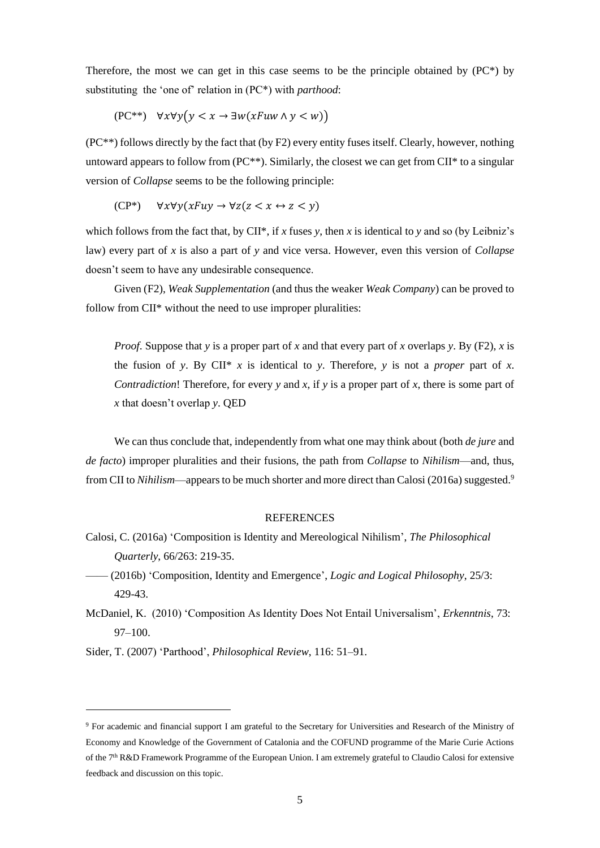Therefore, the most we can get in this case seems to be the principle obtained by  $(PC^*)$  by substituting the 'one of' relation in (PC\*) with *parthood*:

$$
(\mathbf{PC}^{**}) \quad \forall x \forall y \big( y < x \to \exists w \big( x \mathit{Fuw} \land y < w \big) \big)
$$

(PC\*\*) follows directly by the fact that (by F2) every entity fuses itself. Clearly, however, nothing untoward appears to follow from (PC\*\*). Similarly, the closest we can get from CII\* to a singular version of *Collapse* seems to be the following principle:

$$
(CP^*) \quad \forall x \forall y (xFuy \rightarrow \forall z (z < x \leftrightarrow z < y)
$$

which follows from the fact that, by CII\*, if *x* fuses *y*, then *x* is identical to *y* and so (by Leibniz's law) every part of *x* is also a part of *y* and vice versa. However, even this version of *Collapse* doesn't seem to have any undesirable consequence.

Given (F2), *Weak Supplementation* (and thus the weaker *Weak Company*) can be proved to follow from CII\* without the need to use improper pluralities:

*Proof*. Suppose that *y* is a proper part of *x* and that every part of *x* overlaps *y*. By (F2), *x* is the fusion of *y*. By CII<sup>\*</sup> *x* is identical to *y*. Therefore, *y* is not a *proper* part of *x*. *Contradiction*! Therefore, for every *y* and *x*, if *y* is a proper part of *x*, there is some part of *x* that doesn't overlap *y*. QED

We can thus conclude that, independently from what one may think about (both *de jure* and *de facto*) improper pluralities and their fusions, the path from *Collapse* to *Nihilism*—and, thus, from CII to *Nihilism*—appears to be much shorter and more direct than Calosi (2016a) suggested.<sup>9</sup>

### **REFERENCES**

- Calosi, C. (2016a) 'Composition is Identity and Mereological Nihilism', *The Philosophical Quarterly*, 66/263: 219-35.
- —— (2016b) 'Composition, Identity and Emergence', *Logic and Logical Philosophy*, 25/3: 429-43.
- McDaniel, K. (2010) 'Composition As Identity Does Not Entail Universalism', *Erkenntnis*, 73: 97–100.

Sider, T. (2007) 'Parthood', *Philosophical Review*, 116: 51–91.

-

<sup>9</sup> For academic and financial support I am grateful to the Secretary for Universities and Research of the Ministry of Economy and Knowledge of the Government of Catalonia and the COFUND programme of the Marie Curie Actions of the 7<sup>th</sup> R&D Framework Programme of the European Union. I am extremely grateful to Claudio Calosi for extensive feedback and discussion on this topic.